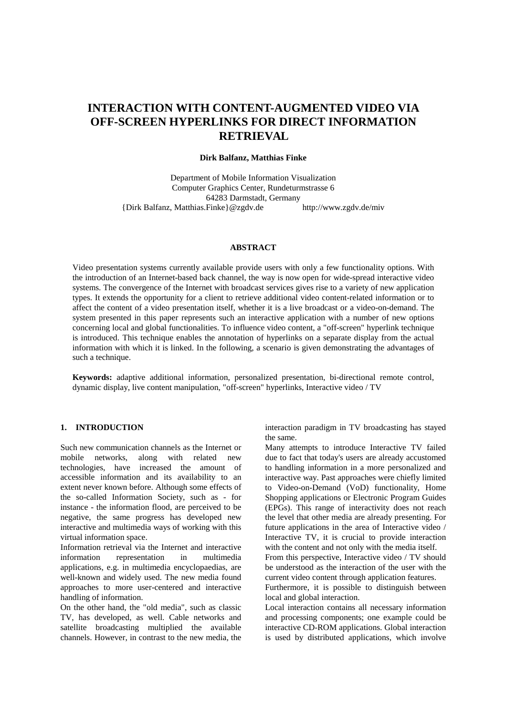# **INTERACTION WITH CONTENT-AUGMENTED VIDEO VIA OFF-SCREEN HYPERLINKS FOR DIRECT INFORMATION RETRIEVAL**

## **Dirk Balfanz, Matthias Finke**

Department of Mobile Information Visualization Computer Graphics Center, Rundeturmstrasse 6 64283 Darmstadt, Germany {Dirk Balfanz, Matthias.Finke}@zgdv.de http://www.zgdv.de/miv

#### **ABSTRACT**

Video presentation systems currently available provide users with only a few functionality options. With the introduction of an Internet-based back channel, the way is now open for wide-spread interactive video systems. The convergence of the Internet with broadcast services gives rise to a variety of new application types. It extends the opportunity for a client to retrieve additional video content-related information or to affect the content of a video presentation itself, whether it is a live broadcast or a video-on-demand. The system presented in this paper represents such an interactive application with a number of new options concerning local and global functionalities. To influence video content, a "off-screen" hyperlink technique is introduced. This technique enables the annotation of hyperlinks on a separate display from the actual information with which it is linked. In the following, a scenario is given demonstrating the advantages of such a technique.

**Keywords:** adaptive additional information, personalized presentation, bi-directional remote control, dynamic display, live content manipulation, "off-screen" hyperlinks, Interactive video / TV

## **1. INTRODUCTION**

Such new communication channels as the Internet or mobile networks, along with related new technologies, have increased the amount of accessible information and its availability to an extent never known before. Although some effects of the so-called Information Society, such as - for instance - the information flood, are perceived to be negative, the same progress has developed new interactive and multimedia ways of working with this virtual information space.

Information retrieval via the Internet and interactive information representation in multimedia applications, e.g. in multimedia encyclopaedias, are well-known and widely used. The new media found approaches to more user-centered and interactive handling of information.

On the other hand, the "old media", such as classic TV, has developed, as well. Cable networks and satellite broadcasting multiplied the available channels. However, in contrast to the new media, the interaction paradigm in TV broadcasting has stayed the same.

Many attempts to introduce Interactive TV failed due to fact that today's users are already accustomed to handling information in a more personalized and interactive way. Past approaches were chiefly limited to Video-on-Demand (VoD) functionality, Home Shopping applications or Electronic Program Guides (EPGs). This range of interactivity does not reach the level that other media are already presenting. For future applications in the area of Interactive video / Interactive TV, it is crucial to provide interaction with the content and not only with the media itself.

From this perspective, Interactive video / TV should be understood as the interaction of the user with the current video content through application features.

Furthermore, it is possible to distinguish between local and global interaction.

Local interaction contains all necessary information and processing components; one example could be interactive CD-ROM applications. Global interaction is used by distributed applications, which involve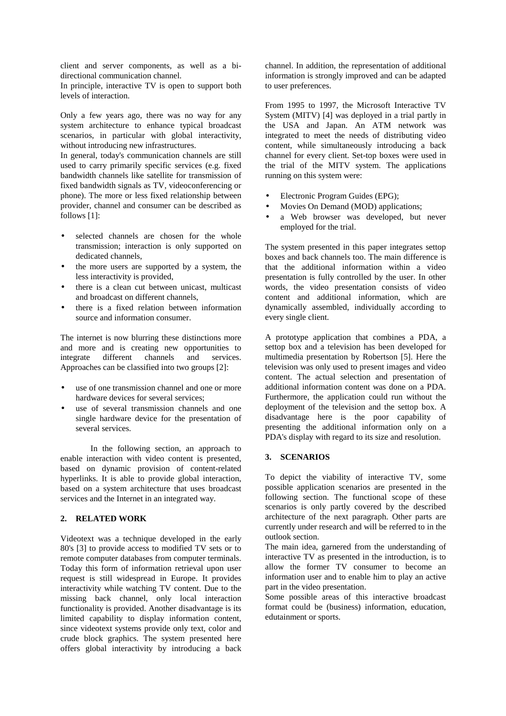client and server components, as well as a bidirectional communication channel.

In principle, interactive TV is open to support both levels of interaction.

Only a few years ago, there was no way for any system architecture to enhance typical broadcast scenarios, in particular with global interactivity, without introducing new infrastructures.

In general, today's communication channels are still used to carry primarily specific services (e.g. fixed bandwidth channels like satellite for transmission of fixed bandwidth signals as TV, videoconferencing or phone). The more or less fixed relationship between provider, channel and consumer can be described as follows [1]:

- selected channels are chosen for the whole transmission; interaction is only supported on dedicated channels,
- the more users are supported by a system, the less interactivity is provided,
- there is a clean cut between unicast, multicast and broadcast on different channels,
- there is a fixed relation between information source and information consumer.

The internet is now blurring these distinctions more and more and is creating new opportunities to integrate different channels and services. Approaches can be classified into two groups [2]:

- use of one transmission channel and one or more hardware devices for several services;
- use of several transmission channels and one single hardware device for the presentation of several services.

In the following section, an approach to enable interaction with video content is presented, based on dynamic provision of content-related hyperlinks. It is able to provide global interaction, based on a system architecture that uses broadcast services and the Internet in an integrated way.

#### **2. RELATED WORK**

Videotext was a technique developed in the early 80's [3] to provide access to modified TV sets or to remote computer databases from computer terminals. Today this form of information retrieval upon user request is still widespread in Europe. It provides interactivity while watching TV content. Due to the missing back channel, only local interaction functionality is provided. Another disadvantage is its limited capability to display information content, since videotext systems provide only text, color and crude block graphics. The system presented here offers global interactivity by introducing a back

channel. In addition, the representation of additional information is strongly improved and can be adapted to user preferences.

From 1995 to 1997, the Microsoft Interactive TV System (MITV) [4] was deployed in a trial partly in the USA and Japan. An ATM network was integrated to meet the needs of distributing video content, while simultaneously introducing a back channel for every client. Set-top boxes were used in the trial of the MITV system. The applications running on this system were:

- Electronic Program Guides (EPG);
- Movies On Demand (MOD) applications;
- a Web browser was developed, but never employed for the trial.

The system presented in this paper integrates settop boxes and back channels too. The main difference is that the additional information within a video presentation is fully controlled by the user. In other words, the video presentation consists of video content and additional information, which are dynamically assembled, individually according to every single client.

A prototype application that combines a PDA, a settop box and a television has been developed for multimedia presentation by Robertson [5]. Here the television was only used to present images and video content. The actual selection and presentation of additional information content was done on a PDA. Furthermore, the application could run without the deployment of the television and the settop box. A disadvantage here is the poor capability of presenting the additional information only on a PDA's display with regard to its size and resolution.

#### **3. SCENARIOS**

To depict the viability of interactive TV, some possible application scenarios are presented in the following section. The functional scope of these scenarios is only partly covered by the described architecture of the next paragraph. Other parts are currently under research and will be referred to in the outlook section.

The main idea, garnered from the understanding of interactive TV as presented in the introduction, is to allow the former TV consumer to become an information user and to enable him to play an active part in the video presentation.

Some possible areas of this interactive broadcast format could be (business) information, education, edutainment or sports.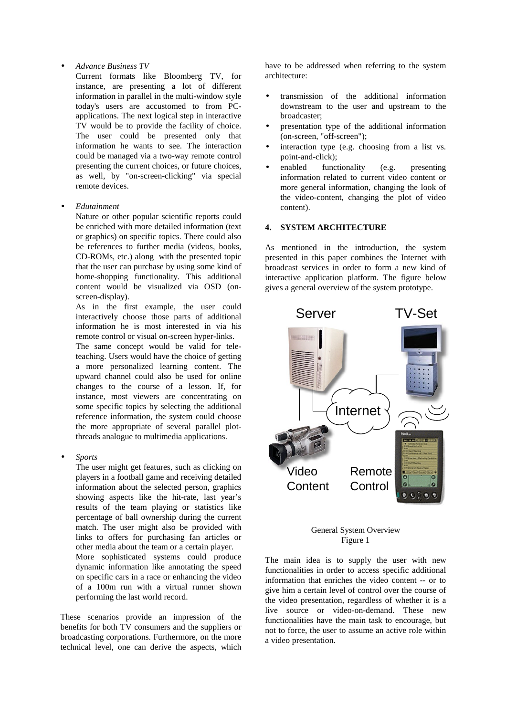• *Advance Business TV*

Current formats like Bloomberg TV, for instance, are presenting a lot of different information in parallel in the multi-window style today's users are accustomed to from PCapplications. The next logical step in interactive TV would be to provide the facility of choice. The user could be presented only that information he wants to see. The interaction could be managed via a two-way remote control presenting the current choices, or future choices, as well, by "on-screen-clicking" via special remote devices.

• *Edutainment*

Nature or other popular scientific reports could be enriched with more detailed information (text or graphics) on specific topics. There could also be references to further media (videos, books, CD-ROMs, etc.) along with the presented topic that the user can purchase by using some kind of home-shopping functionality. This additional content would be visualized via OSD (onscreen-display).

As in the first example, the user could interactively choose those parts of additional information he is most interested in via his remote control or visual on-screen hyper-links.

The same concept would be valid for teleteaching. Users would have the choice of getting a more personalized learning content. The upward channel could also be used for online changes to the course of a lesson. If, for instance, most viewers are concentrating on some specific topics by selecting the additional reference information, the system could choose the more appropriate of several parallel plotthreads analogue to multimedia applications.

• *Sports*

The user might get features, such as clicking on players in a football game and receiving detailed information about the selected person, graphics showing aspects like the hit-rate, last year's results of the team playing or statistics like percentage of ball ownership during the current match. The user might also be provided with links to offers for purchasing fan articles or other media about the team or a certain player.

More sophisticated systems could produce dynamic information like annotating the speed on specific cars in a race or enhancing the video of a 100m run with a virtual runner shown performing the last world record.

These scenarios provide an impression of the benefits for both TV consumers and the suppliers or broadcasting corporations. Furthermore, on the more technical level, one can derive the aspects, which

have to be addressed when referring to the system architecture:

- transmission of the additional information downstream to the user and upstream to the broadcaster;
- presentation type of the additional information (on-screen, "off-screen");
- interaction type (e.g. choosing from a list vs. point-and-click);
- enabled functionality (e.g. presenting information related to current video content or more general information, changing the look of the video-content, changing the plot of video content).

## **4. SYSTEM ARCHITECTURE**

As mentioned in the introduction, the system presented in this paper combines the Internet with broadcast services in order to form a new kind of interactive application platform. The figure below gives a general overview of the system prototype.





The main idea is to supply the user with new functionalities in order to access specific additional information that enriches the video content -- or to give him a certain level of control over the course of the video presentation, regardless of whether it is a live source or video-on-demand. These new functionalities have the main task to encourage, but not to force, the user to assume an active role within a video presentation.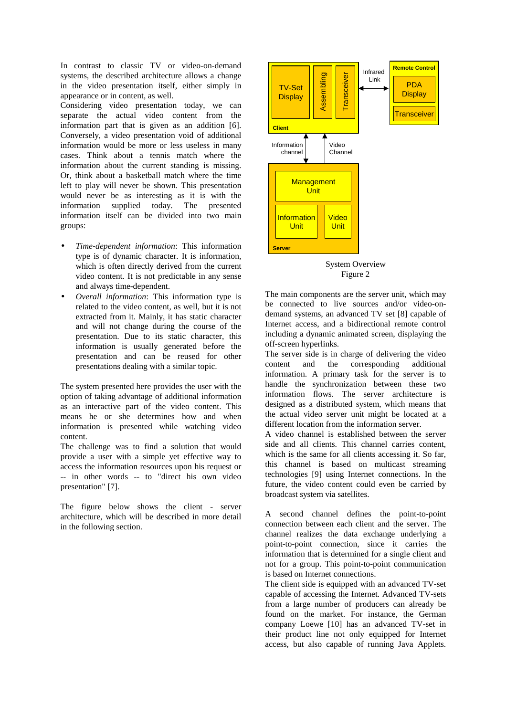In contrast to classic TV or video-on-demand systems, the described architecture allows a change in the video presentation itself, either simply in appearance or in content, as well.

Considering video presentation today, we can separate the actual video content from the information part that is given as an addition [6]. Conversely, a video presentation void of additional information would be more or less useless in many cases. Think about a tennis match where the information about the current standing is missing. Or, think about a basketball match where the time left to play will never be shown. This presentation would never be as interesting as it is with the information supplied today. The presented information itself can be divided into two main groups:

- *Time-dependent information*: This information type is of dynamic character. It is information, which is often directly derived from the current video content. It is not predictable in any sense and always time-dependent.
- *Overall information*: This information type is related to the video content, as well, but it is not extracted from it. Mainly, it has static character and will not change during the course of the presentation. Due to its static character, this information is usually generated before the presentation and can be reused for other presentations dealing with a similar topic.

The system presented here provides the user with the option of taking advantage of additional information as an interactive part of the video content. This means he or she determines how and when information is presented while watching video content.

The challenge was to find a solution that would provide a user with a simple yet effective way to access the information resources upon his request or -- in other words -- to "direct his own video presentation" [7].

The figure below shows the client - server architecture, which will be described in more detail in the following section.



System Overview Figure 2

The main components are the server unit, which may be connected to live sources and/or video-ondemand systems, an advanced TV set [8] capable of Internet access, and a bidirectional remote control including a dynamic animated screen, displaying the off-screen hyperlinks.

The server side is in charge of delivering the video content and the corresponding additional information. A primary task for the server is to handle the synchronization between these two information flows. The server architecture is designed as a distributed system, which means that the actual video server unit might be located at a different location from the information server.

A video channel is established between the server side and all clients. This channel carries content, which is the same for all clients accessing it. So far, this channel is based on multicast streaming technologies [9] using Internet connections. In the future, the video content could even be carried by broadcast system via satellites.

A second channel defines the point-to-point connection between each client and the server. The channel realizes the data exchange underlying a point-to-point connection, since it carries the information that is determined for a single client and not for a group. This point-to-point communication is based on Internet connections.

The client side is equipped with an advanced TV-set capable of accessing the Internet. Advanced TV-sets from a large number of producers can already be found on the market. For instance, the German company Loewe [10] has an advanced TV-set in their product line not only equipped for Internet access, but also capable of running Java Applets.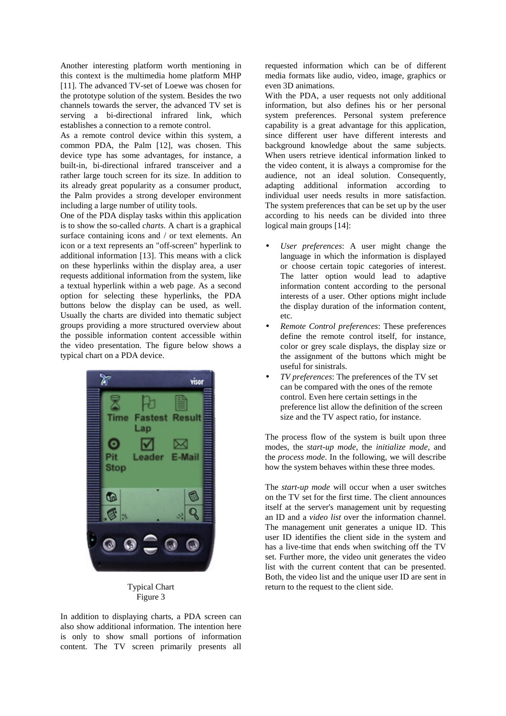Another interesting platform worth mentioning in this context is the multimedia home platform MHP [11]. The advanced TV-set of Loewe was chosen for the prototype solution of the system. Besides the two channels towards the server, the advanced TV set is serving a bi-directional infrared link, which establishes a connection to a remote control.

As a remote control device within this system, a common PDA, the Palm [12], was chosen. This device type has some advantages, for instance, a built-in, bi-directional infrared transceiver and a rather large touch screen for its size. In addition to its already great popularity as a consumer product, the Palm provides a strong developer environment including a large number of utility tools.

One of the PDA display tasks within this application is to show the so-called *charts*. A chart is a graphical surface containing icons and / or text elements. An icon or a text represents an "off-screen" hyperlink to additional information [13]. This means with a click on these hyperlinks within the display area, a user requests additional information from the system, like a textual hyperlink within a web page. As a second option for selecting these hyperlinks, the PDA buttons below the display can be used, as well. Usually the charts are divided into thematic subject groups providing a more structured overview about the possible information content accessible within the video presentation. The figure below shows a typical chart on a PDA device.



Typical Chart Figure 3

In addition to displaying charts, a PDA screen can also show additional information. The intention here is only to show small portions of information content. The TV screen primarily presents all requested information which can be of different media formats like audio, video, image, graphics or even 3D animations.

With the PDA, a user requests not only additional information, but also defines his or her personal system preferences. Personal system preference capability is a great advantage for this application, since different user have different interests and background knowledge about the same subjects. When users retrieve identical information linked to the video content, it is always a compromise for the audience, not an ideal solution. Consequently, adapting additional information according to individual user needs results in more satisfaction. The system preferences that can be set up by the user according to his needs can be divided into three logical main groups [14]:

- *User preferences*: A user might change the language in which the information is displayed or choose certain topic categories of interest. The latter option would lead to adaptive information content according to the personal interests of a user. Other options might include the display duration of the information content, etc.
- *Remote Control preferences*: These preferences define the remote control itself, for instance, color or grey scale displays, the display size or the assignment of the buttons which might be useful for sinistrals.
- *TV preferences*: The preferences of the TV set can be compared with the ones of the remote control. Even here certain settings in the preference list allow the definition of the screen size and the TV aspect ratio, for instance.

The process flow of the system is built upon three modes, the *start-up mode*, the *initialize mode*, and the *process mode*. In the following, we will describe how the system behaves within these three modes.

The *start-up mode* will occur when a user switches on the TV set for the first time. The client announces itself at the server's management unit by requesting an ID and a *video list* over the information channel. The management unit generates a unique ID. This user ID identifies the client side in the system and has a live-time that ends when switching off the TV set. Further more, the video unit generates the video list with the current content that can be presented. Both, the video list and the unique user ID are sent in return to the request to the client side.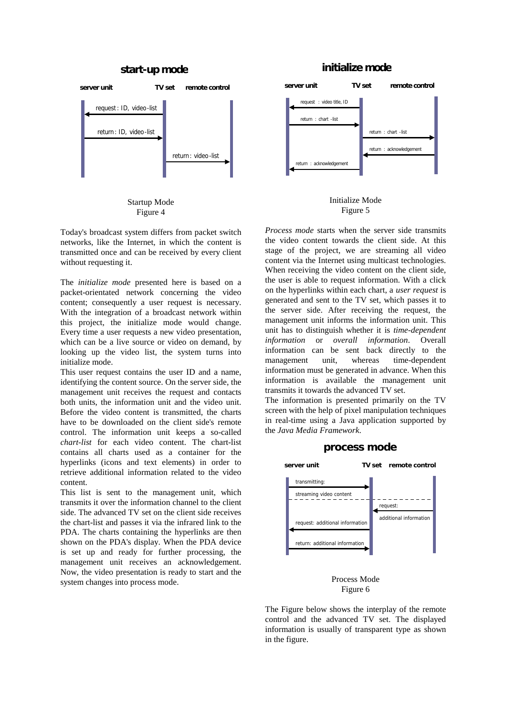#### **start-up mode**





Today's broadcast system differs from packet switch networks, like the Internet, in which the content is transmitted once and can be received by every client without requesting it.

The *initialize mode* presented here is based on a packet-orientated network concerning the video content; consequently a user request is necessary. With the integration of a broadcast network within this project, the initialize mode would change. Every time a user requests a new video presentation, which can be a live source or video on demand, by looking up the video list, the system turns into initialize mode.

This user request contains the user ID and a name, identifying the content source. On the server side, the management unit receives the request and contacts both units, the information unit and the video unit. Before the video content is transmitted, the charts have to be downloaded on the client side's remote control. The information unit keeps a so-called *chart-list* for each video content. The chart-list contains all charts used as a container for the hyperlinks (icons and text elements) in order to retrieve additional information related to the video content.

This list is sent to the management unit, which transmits it over the information channel to the client side. The advanced TV set on the client side receives the chart-list and passes it via the infrared link to the PDA. The charts containing the hyperlinks are then shown on the PDA's display. When the PDA device is set up and ready for further processing, the management unit receives an acknowledgement. Now, the video presentation is ready to start and the system changes into process mode.

## **initialize mode**





*Process mode* starts when the server side transmits the video content towards the client side. At this stage of the project, we are streaming all video content via the Internet using multicast technologies. When receiving the video content on the client side, the user is able to request information. With a click on the hyperlinks within each chart, a *user request* is generated and sent to the TV set, which passes it to the server side. After receiving the request, the management unit informs the information unit. This unit has to distinguish whether it is *time-dependent information* or *overall information*. Overall information can be sent back directly to the management unit, whereas time-dependent information must be generated in advance. When this information is available the management unit transmits it towards the advanced TV set.

The information is presented primarily on the TV screen with the help of pixel manipulation techniques in real-time using a Java application supported by the *Java Media Framework*.





Process Mode Figure 6

The Figure below shows the interplay of the remote control and the advanced TV set. The displayed information is usually of transparent type as shown in the figure.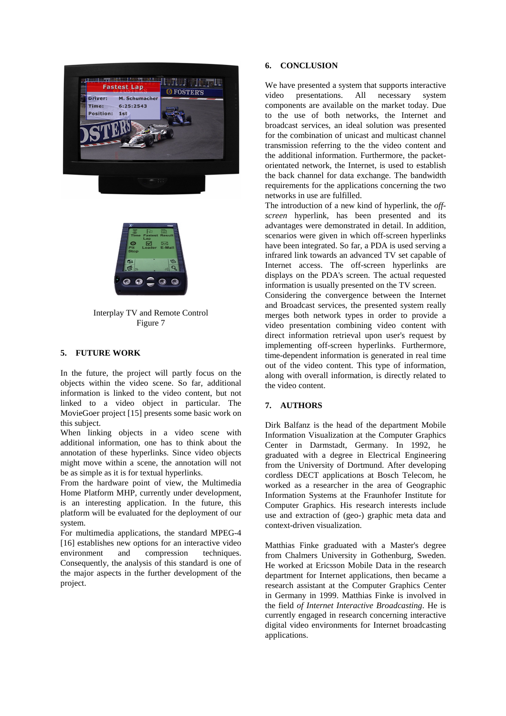



Interplay TV and Remote Control Figure 7

## **5. FUTURE WORK**

In the future, the project will partly focus on the objects within the video scene. So far, additional information is linked to the video content, but not linked to a video object in particular. The MovieGoer project [15] presents some basic work on this subject.

When linking objects in a video scene with additional information, one has to think about the annotation of these hyperlinks. Since video objects might move within a scene, the annotation will not be as simple as it is for textual hyperlinks.

From the hardware point of view, the Multimedia Home Platform MHP, currently under development, is an interesting application. In the future, this platform will be evaluated for the deployment of our system.

For multimedia applications, the standard MPEG-4 [16] establishes new options for an interactive video environment and compression techniques. Consequently, the analysis of this standard is one of the major aspects in the further development of the project.

## **6. CONCLUSION**

We have presented a system that supports interactive video presentations. All necessary system components are available on the market today. Due to the use of both networks, the Internet and broadcast services, an ideal solution was presented for the combination of unicast and multicast channel transmission referring to the the video content and the additional information. Furthermore, the packetorientated network, the Internet, is used to establish the back channel for data exchange. The bandwidth requirements for the applications concerning the two networks in use are fulfilled.

The introduction of a new kind of hyperlink, the *offscreen* hyperlink, has been presented and its advantages were demonstrated in detail. In addition, scenarios were given in which off-screen hyperlinks have been integrated. So far, a PDA is used serving a infrared link towards an advanced TV set capable of Internet access. The off-screen hyperlinks are displays on the PDA's screen. The actual requested information is usually presented on the TV screen.

Considering the convergence between the Internet and Broadcast services, the presented system really merges both network types in order to provide a video presentation combining video content with direct information retrieval upon user's request by implementing off-screen hyperlinks. Furthermore, time-dependent information is generated in real time out of the video content. This type of information, along with overall information, is directly related to the video content.

## **7. AUTHORS**

Dirk Balfanz is the head of the department Mobile Information Visualization at the Computer Graphics Center in Darmstadt, Germany. In 1992, he graduated with a degree in Electrical Engineering from the University of Dortmund. After developing cordless DECT applications at Bosch Telecom, he worked as a researcher in the area of Geographic Information Systems at the Fraunhofer Institute for Computer Graphics. His research interests include use and extraction of (geo-) graphic meta data and context-driven visualization.

Matthias Finke graduated with a Master's degree from Chalmers University in Gothenburg, Sweden. He worked at Ericsson Mobile Data in the research department for Internet applications, then became a research assistant at the Computer Graphics Center in Germany in 1999. Matthias Finke is involved in the field *of Internet Interactive Broadcasting*. He is currently engaged in research concerning interactive digital video environments for Internet broadcasting applications.